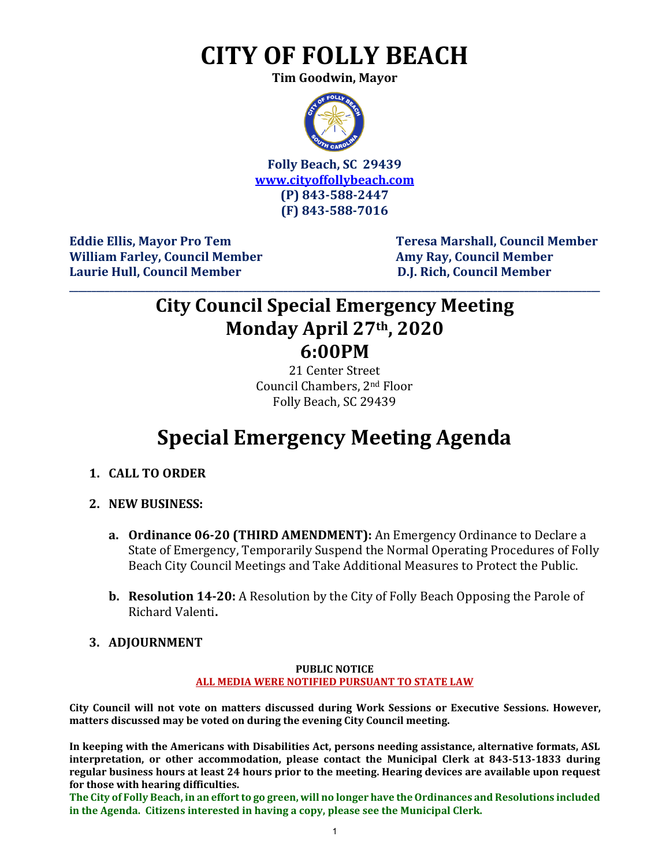# **CITY OF FOLLY BEACH**

**Tim Goodwin, Mayor**



**Folly Beach, SC 29439 [www.cityoffollybeach.com](http://www.cityoffollybeach.com/) (P) 843-588-2447 (F) 843-588-7016**

William Farley, Council Member **Amy Ray, Council Member Laurie Hull, Council Member D.J. Rich, Council Member**

Eddie Ellis, Mayor Pro Tem Teresa Marshall, Council Member

# **City Council Special Emergency Meeting Monday April 27th, 2020 6:00PM**

**\_\_\_\_\_\_\_\_\_\_\_\_\_\_\_\_\_\_\_\_\_\_\_\_\_\_\_\_\_\_\_\_\_\_\_\_\_\_\_\_\_\_\_\_\_\_\_\_\_\_\_\_\_\_\_\_\_\_\_\_\_\_\_\_\_\_\_\_\_\_\_\_\_\_\_\_\_\_\_\_\_\_\_\_\_\_\_\_\_\_\_\_\_\_\_\_\_\_\_\_\_\_\_\_\_\_\_\_\_\_\_\_\_\_\_\_\_\_\_**

21 Center Street Council Chambers, 2nd Floor Folly Beach, SC 29439

# **Special Emergency Meeting Agenda**

- **1. CALL TO ORDER**
- **2. NEW BUSINESS:**
	- **a. Ordinance 06-20 (THIRD AMENDMENT):** An Emergency Ordinance to Declare a State of Emergency, Temporarily Suspend the Normal Operating Procedures of Folly Beach City Council Meetings and Take Additional Measures to Protect the Public.
	- **b. Resolution 14-20:** A Resolution by the City of Folly Beach Opposing the Parole of Richard Valenti**.**
- **3. ADJOURNMENT**

#### **PUBLIC NOTICE ALL MEDIA WERE NOTIFIED PURSUANT TO STATE LAW**

**City Council will not vote on matters discussed during Work Sessions or Executive Sessions. However, matters discussed may be voted on during the evening City Council meeting.** 

**In keeping with the Americans with Disabilities Act, persons needing assistance, alternative formats, ASL interpretation, or other accommodation, please contact the Municipal Clerk at 843-513-1833 during regular business hours at least 24 hours prior to the meeting. Hearing devices are available upon request for those with hearing difficulties.**

**The City of Folly Beach, in an effort to go green, will no longer have the Ordinances and Resolutions included in the Agenda. Citizens interested in having a copy, please see the Municipal Clerk.**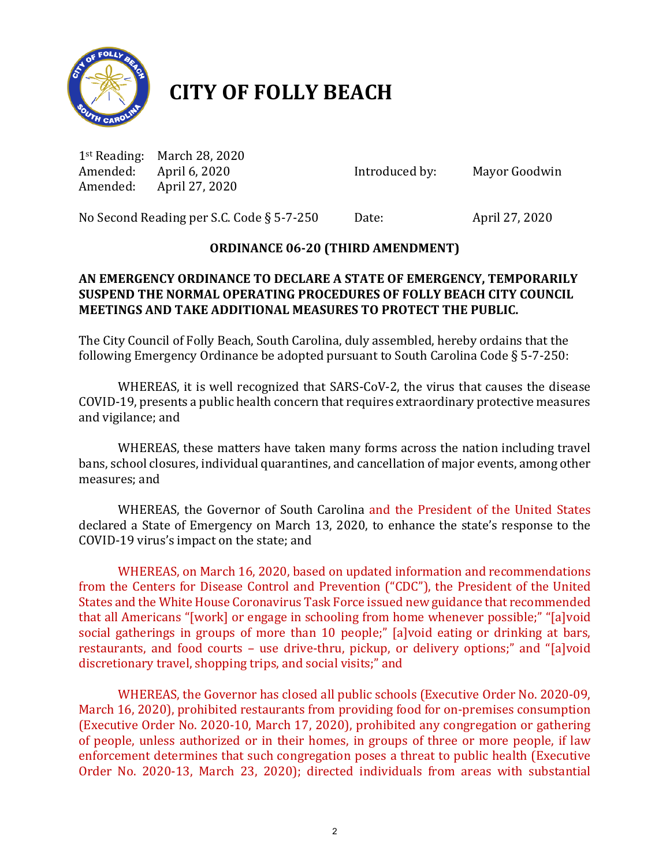

# **CITY OF FOLLY BEACH**

1<sup>st</sup> Reading: March 28, 2020<br>Amended: April 6, 2020 Amended: April 6, 2020 **Introduced by:** Mayor Goodwin Amended: April 27, 2020 April 27, 2020

No Second Reading per S.C. Code § 5-7-250 Date: April 27, 2020

## **ORDINANCE 06-20 (THIRD AMENDMENT)**

### **AN EMERGENCY ORDINANCE TO DECLARE A STATE OF EMERGENCY, TEMPORARILY SUSPEND THE NORMAL OPERATING PROCEDURES OF FOLLY BEACH CITY COUNCIL MEETINGS AND TAKE ADDITIONAL MEASURES TO PROTECT THE PUBLIC.**

The City Council of Folly Beach, South Carolina, duly assembled, hereby ordains that the following Emergency Ordinance be adopted pursuant to South Carolina Code § 5-7-250:

WHEREAS, it is well recognized that SARS-CoV-2, the virus that causes the disease COVID-19, presents a public health concern that requires extraordinary protective measures and vigilance; and

WHEREAS, these matters have taken many forms across the nation including travel bans, school closures, individual quarantines, and cancellation of major events, among other measures; and

WHEREAS, the Governor of South Carolina and the President of the United States declared a State of Emergency on March 13, 2020, to enhance the state's response to the COVID-19 virus's impact on the state; and

WHEREAS, on March 16, 2020, based on updated information and recommendations from the Centers for Disease Control and Prevention ("CDC"), the President of the United States and the White House Coronavirus Task Force issued new guidance that recommended that all Americans "[work] or engage in schooling from home whenever possible;" "[a]void social gatherings in groups of more than 10 people;" [a]void eating or drinking at bars, restaurants, and food courts – use drive-thru, pickup, or delivery options;" and "[a]void discretionary travel, shopping trips, and social visits;" and

WHEREAS, the Governor has closed all public schools (Executive Order No. 2020-09, March 16, 2020), prohibited restaurants from providing food for on-premises consumption (Executive Order No. 2020-10, March 17, 2020), prohibited any congregation or gathering of people, unless authorized or in their homes, in groups of three or more people, if law enforcement determines that such congregation poses a threat to public health (Executive Order No. 2020-13, March 23, 2020); directed individuals from areas with substantial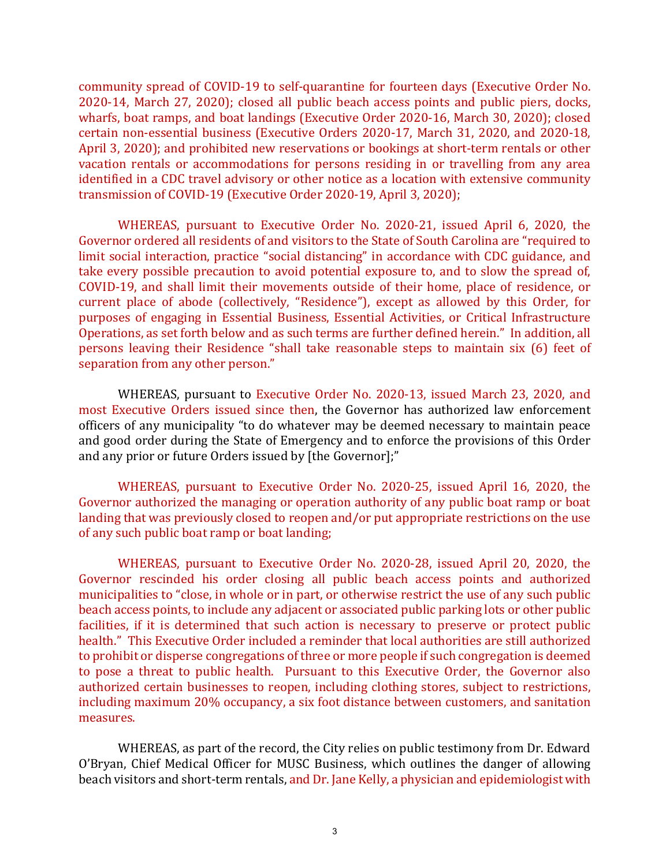community spread of COVID-19 to self-quarantine for fourteen days (Executive Order No. 2020-14, March 27, 2020); closed all public beach access points and public piers, docks, wharfs, boat ramps, and boat landings (Executive Order 2020-16, March 30, 2020); closed certain non-essential business (Executive Orders 2020-17, March 31, 2020, and 2020-18, April 3, 2020); and prohibited new reservations or bookings at short-term rentals or other vacation rentals or accommodations for persons residing in or travelling from any area identified in a CDC travel advisory or other notice as a location with extensive community transmission of COVID-19 (Executive Order 2020-19, April 3, 2020);

WHEREAS, pursuant to Executive Order No. 2020-21, issued April 6, 2020, the Governor ordered all residents of and visitors to the State of South Carolina are "required to limit social interaction, practice "social distancing" in accordance with CDC guidance, and take every possible precaution to avoid potential exposure to, and to slow the spread of, COVID-19, and shall limit their movements outside of their home, place of residence, or current place of abode (collectively, "Residence"), except as allowed by this Order, for purposes of engaging in Essential Business, Essential Activities, or Critical Infrastructure Operations, as set forth below and as such terms are further defined herein." In addition, all persons leaving their Residence "shall take reasonable steps to maintain six (6) feet of separation from any other person."

WHEREAS, pursuant to Executive Order No. 2020-13, issued March 23, 2020, and most Executive Orders issued since then, the Governor has authorized law enforcement officers of any municipality "to do whatever may be deemed necessary to maintain peace and good order during the State of Emergency and to enforce the provisions of this Order and any prior or future Orders issued by [the Governor];"

WHEREAS, pursuant to Executive Order No. 2020-25, issued April 16, 2020, the Governor authorized the managing or operation authority of any public boat ramp or boat landing that was previously closed to reopen and/or put appropriate restrictions on the use of any such public boat ramp or boat landing;

WHEREAS, pursuant to Executive Order No. 2020-28, issued April 20, 2020, the Governor rescinded his order closing all public beach access points and authorized municipalities to "close, in whole or in part, or otherwise restrict the use of any such public beach access points, to include any adjacent or associated public parking lots or other public facilities, if it is determined that such action is necessary to preserve or protect public health." This Executive Order included a reminder that local authorities are still authorized to prohibit or disperse congregations of three or more people if such congregation is deemed to pose a threat to public health. Pursuant to this Executive Order, the Governor also authorized certain businesses to reopen, including clothing stores, subject to restrictions, including maximum 20% occupancy, a six foot distance between customers, and sanitation measures.

WHEREAS, as part of the record, the City relies on public testimony from Dr. Edward O'Bryan, Chief Medical Officer for MUSC Business, which outlines the danger of allowing beach visitors and short-term rentals, and Dr. Jane Kelly, a physician and epidemiologist with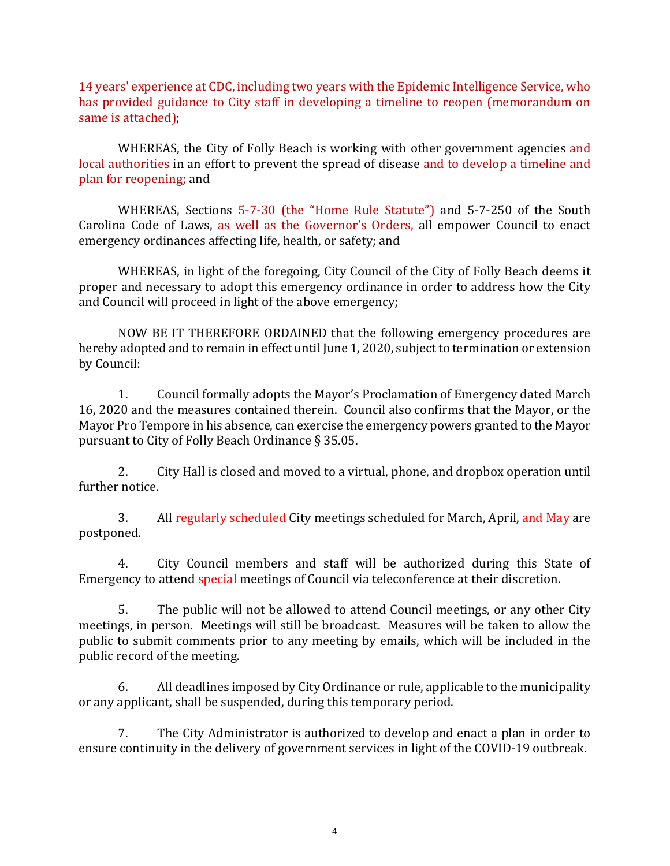14 years' experience at CDC, including two years with the Epidemic Intelligence Service, who has provided guidance to City staff in developing a timeline to reopen (memorandum on same is attached);

WHEREAS, the City of Folly Beach is working with other government agencies and local authorities in an effort to prevent the spread of disease and to develop a timeline and plan for reopening; and

WHEREAS, Sections 5-7-30 (the "Home Rule Statute") and 5-7-250 of the South Carolina Code of Laws, as well as the Governor's Orders, all empower Council to enact emergency ordinances affecting life, health, or safety; and

WHEREAS, in light of the foregoing, City Council of the City of Folly Beach deems it proper and necessary to adopt this emergency ordinance in order to address how the City and Council will proceed in light of the above emergency;

NOW BE IT THEREFORE ORDAINED that the following emergency procedures are hereby adopted and to remain in effect until June 1, 2020, subject to termination or extension by Council:

1. Council formally adopts the Mayor's Proclamation of Emergency dated March 16, 2020 and the measures contained therein. Council also confirms that the Mayor, or the Mayor Pro Tempore in his absence, can exercise the emergency powers granted to the Mayor pursuant to City of Folly Beach Ordinance § 35.05.

2. City Hall is closed and moved to a virtual, phone, and dropbox operation until further notice.

3. All regularly scheduled City meetings scheduled for March, April, and May are postponed.

4. City Council members and staff will be authorized during this State of Emergency to attend special meetings of Council via teleconference at their discretion.

5. The public will not be allowed to attend Council meetings, or any other City meetings, in person. Meetings will still be broadcast. Measures will be taken to allow the public to submit comments prior to any meeting by emails, which will be included in the public record of the meeting.

6. All deadlines imposed by City Ordinance or rule, applicable to the municipality or any applicant, shall be suspended, during this temporary period.

 7. The City Administrator is authorized to develop and enact a plan in order to ensure continuity in the delivery of government services in light of the COVID-19 outbreak.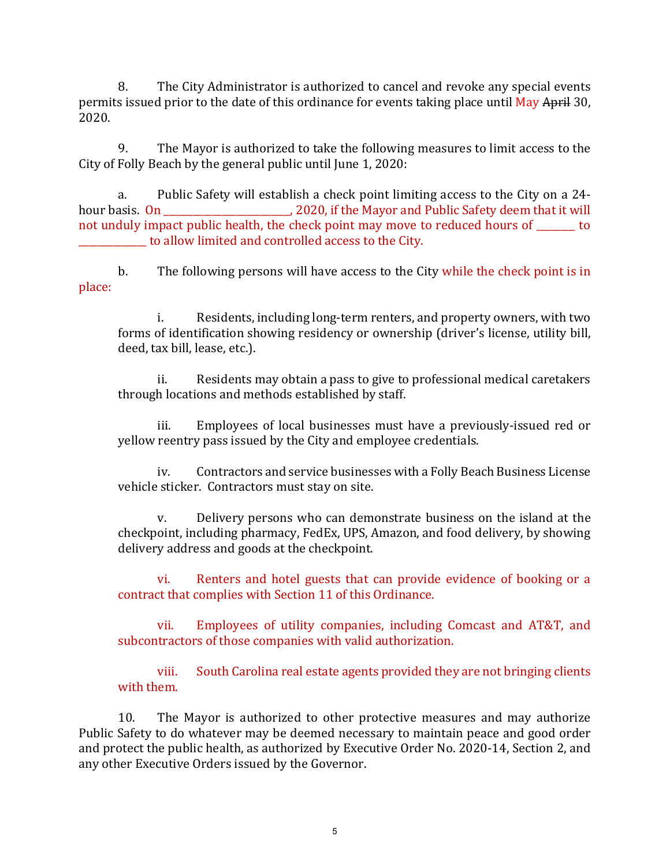8. The City Administrator is authorized to cancel and revoke any special events permits issued prior to the date of this ordinance for events taking place until May April 30, 2020.

9. The Mayor is authorized to take the following measures to limit access to the City of Folly Beach by the general public until June 1, 2020:

a. Public Safety will establish a check point limiting access to the City on a 24 hour basis. On \_\_\_\_\_\_\_\_\_\_\_\_\_\_\_\_\_\_\_\_\_\_\_\_\_\_, 2020, if the Mayor and Public Safety deem that it will not unduly impact public health, the check point may move to reduced hours of to \_\_\_\_\_\_\_\_\_\_\_\_\_\_ to allow limited and controlled access to the City.

b. The following persons will have access to the City while the check point is in place:

i. Residents, including long-term renters, and property owners, with two forms of identification showing residency or ownership (driver's license, utility bill, deed, tax bill, lease, etc.).

ii. Residents may obtain a pass to give to professional medical caretakers through locations and methods established by staff.

iii. Employees of local businesses must have a previously-issued red or yellow reentry pass issued by the City and employee credentials.

iv. Contractors and service businesses with a Folly Beach Business License vehicle sticker. Contractors must stay on site.

v. Delivery persons who can demonstrate business on the island at the checkpoint, including pharmacy, FedEx, UPS, Amazon, and food delivery, by showing delivery address and goods at the checkpoint.

vi. Renters and hotel guests that can provide evidence of booking or a contract that complies with Section 11 of this Ordinance.

vii. Employees of utility companies, including Comcast and AT&T, and subcontractors of those companies with valid authorization.

viii. South Carolina real estate agents provided they are not bringing clients with them.

10. The Mayor is authorized to other protective measures and may authorize Public Safety to do whatever may be deemed necessary to maintain peace and good order and protect the public health, as authorized by Executive Order No. 2020-14, Section 2, and any other Executive Orders issued by the Governor.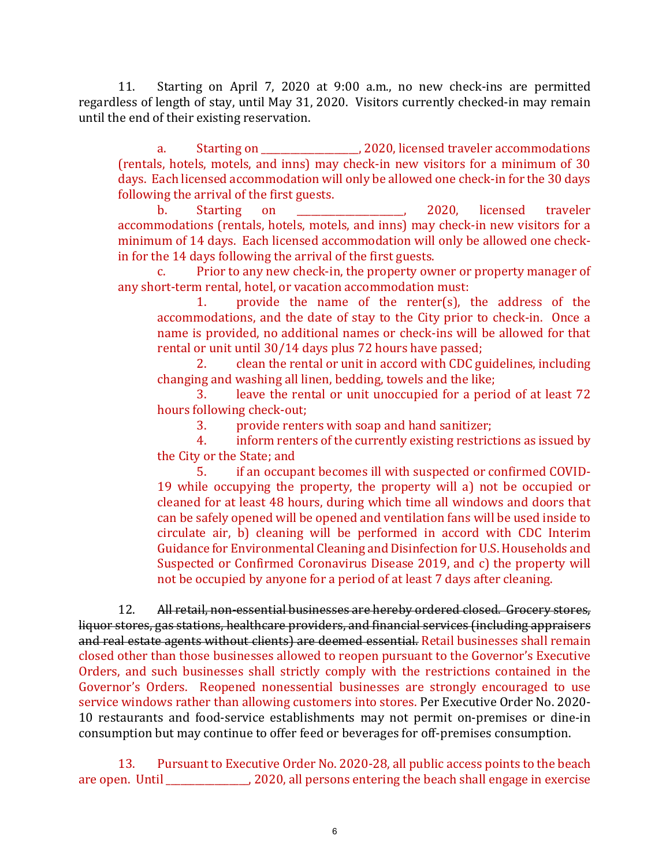11. Starting on April 7, 2020 at 9:00 a.m., no new check-ins are permitted regardless of length of stay, until May 31, 2020. Visitors currently checked-in may remain until the end of their existing reservation.

a. Starting on \_\_\_\_\_\_\_\_\_\_\_\_\_\_\_\_\_\_\_\_, 2020, licensed traveler accommodations (rentals, hotels, motels, and inns) may check-in new visitors for a minimum of 30 days. Each licensed accommodation will only be allowed one check-in for the 30 days following the arrival of the first guests.<br>b. Starting on

b. Starting on \_\_\_\_\_\_\_\_\_\_\_\_\_\_\_\_\_\_\_\_\_\_, 2020, licensed traveler accommodations (rentals, hotels, motels, and inns) may check-in new visitors for a minimum of 14 days. Each licensed accommodation will only be allowed one checkin for the 14 days following the arrival of the first guests.

Prior to any new check-in, the property owner or property manager of any short-term rental, hotel, or vacation accommodation must:<br>1. provide the name of the renter(s).

provide the name of the renter(s), the address of the accommodations, and the date of stay to the City prior to check-in. Once a name is provided, no additional names or check-ins will be allowed for that rental or unit until 30/14 days plus 72 hours have passed;<br>2. Clean the rental or unit in accord with CDC gu

2. clean the rental or unit in accord with CDC guidelines, including changing and washing all linen, bedding, towels and the like;<br>3. leave the rental or unit unoccupied for a period

leave the rental or unit unoccupied for a period of at least 72 hours following check-out;

3. provide renters with soap and hand sanitizer;<br>4. inform renters of the currently existing restrict

inform renters of the currently existing restrictions as issued by the City or the State; and<br>5. if an occupa

5. if an occupant becomes ill with suspected or confirmed COVID-19 while occupying the property, the property will a) not be occupied or cleaned for at least 48 hours, during which time all windows and doors that can be safely opened will be opened and ventilation fans will be used inside to circulate air, b) cleaning will be performed in accord with CDC Interim Guidance for Environmental Cleaning and Disinfection for U.S. Households and Suspected or Confirmed Coronavirus Disease 2019, and c) the property will not be occupied by anyone for a period of at least 7 days after cleaning.

12. All retail, non-essential businesses are hereby ordered closed. Grocery stores, liquor stores, gas stations, healthcare providers, and financial services (including appraisers and real estate agents without clients) are deemed essential. Retail businesses shall remain closed other than those businesses allowed to reopen pursuant to the Governor's Executive Orders, and such businesses shall strictly comply with the restrictions contained in the Governor's Orders. Reopened nonessential businesses are strongly encouraged to use service windows rather than allowing customers into stores. Per Executive Order No. 2020- 10 restaurants and food-service establishments may not permit on-premises or dine-in consumption but may continue to offer feed or beverages for off-premises consumption.

13. Pursuant to Executive Order No. 2020-28, all public access points to the beach are open. Until \_\_\_\_\_\_\_\_\_\_\_\_\_\_\_\_\_, 2020, all persons entering the beach shall engage in exercise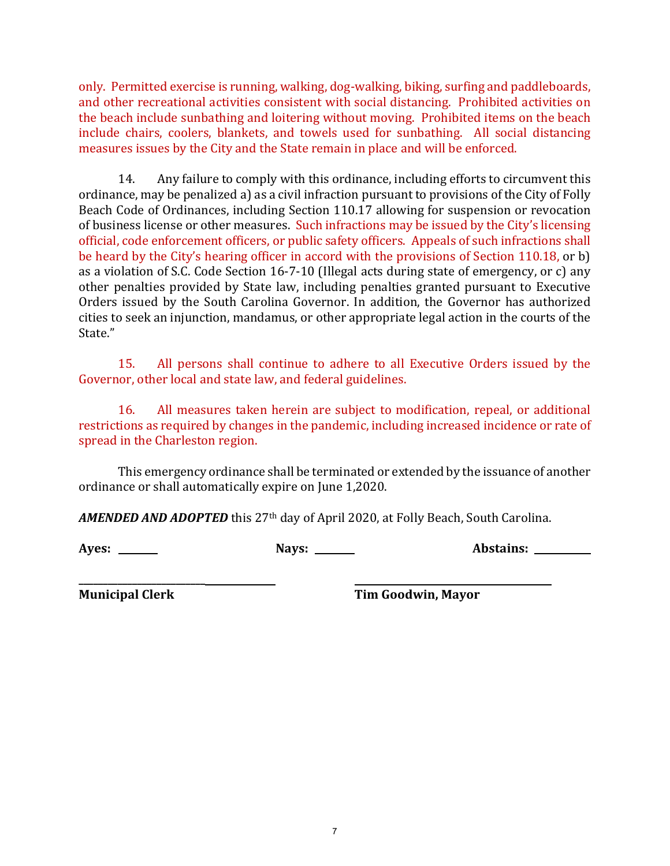only. Permitted exercise is running, walking, dog-walking, biking, surfing and paddleboards, and other recreational activities consistent with social distancing. Prohibited activities on the beach include sunbathing and loitering without moving. Prohibited items on the beach include chairs, coolers, blankets, and towels used for sunbathing. All social distancing measures issues by the City and the State remain in place and will be enforced.

14. Any failure to comply with this ordinance, including efforts to circumvent this ordinance, may be penalized a) as a civil infraction pursuant to provisions of the City of Folly Beach Code of Ordinances, including Section 110.17 allowing for suspension or revocation of business license or other measures. Such infractions may be issued by the City's licensing official, code enforcement officers, or public safety officers. Appeals of such infractions shall be heard by the City's hearing officer in accord with the provisions of Section 110.18, or b) as a violation of S.C. Code Section 16-7-10 (Illegal acts during state of emergency, or c) any other penalties provided by State law, including penalties granted pursuant to Executive Orders issued by the South Carolina Governor. In addition, the Governor has authorized cities to seek an injunction, mandamus, or other appropriate legal action in the courts of the State."

15. All persons shall continue to adhere to all Executive Orders issued by the Governor, other local and state law, and federal guidelines.

16. All measures taken herein are subject to modification, repeal, or additional restrictions as required by changes in the pandemic, including increased incidence or rate of spread in the Charleston region.

This emergency ordinance shall be terminated or extended by the issuance of another ordinance or shall automatically expire on June 1,2020.

*AMENDED AND ADOPTED* this 27th day of April 2020, at Folly Beach, South Carolina.

**Ayes: Nays: Abstains:** 

**\_\_\_\_\_\_\_\_\_\_\_\_\_\_\_\_\_\_\_\_\_\_\_\_\_\_**

**Municipal Clerk Tim Goodwin, Mayor**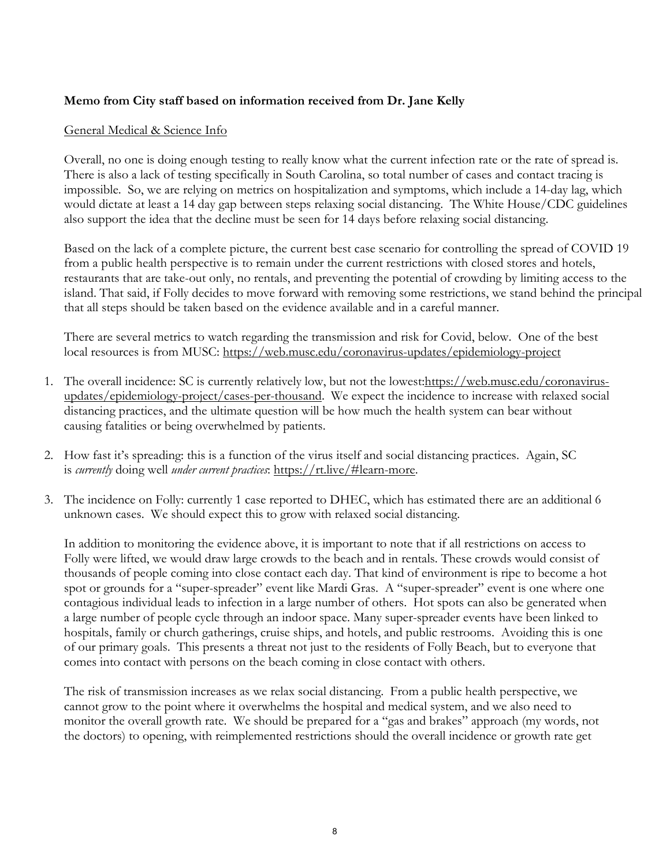#### **Memo from City staff based on information received from Dr. Jane Kelly**

#### General Medical & Science Info

Overall, no one is doing enough testing to really know what the current infection rate or the rate of spread is. There is also a lack of testing specifically in South Carolina, so total number of cases and contact tracing is impossible. So, we are relying on metrics on hospitalization and symptoms, which include a 14-day lag, which would dictate at least a 14 day gap between steps relaxing social distancing. The White House/CDC guidelines also support the idea that the decline must be seen for 14 days before relaxing social distancing.

Based on the lack of a complete picture, the current best case scenario for controlling the spread of COVID 19 from a public health perspective is to remain under the current restrictions with closed stores and hotels, restaurants that are take-out only, no rentals, and preventing the potential of crowding by limiting access to the island. That said, if Folly decides to move forward with removing some restrictions, we stand behind the principal that all steps should be taken based on the evidence available and in a careful manner.

There are several metrics to watch regarding the transmission and risk for Covid, below. One of the best local resources is from MUSC: <https://web.musc.edu/coronavirus-updates/epidemiology-project>

- 1. The overall incidence: SC is currently relatively low, but not the lowest: https://web.musc.edu/coronavirus[updates/epidemiology-project/cases-per-thousand.](https://web.musc.edu/coronavirus-updates/epidemiology-project/cases-per-thousand) We expect the incidence to increase with relaxed social distancing practices, and the ultimate question will be how much the health system can bear without causing fatalities or being overwhelmed by patients.
- 2. How fast it's spreading: this is a function of the virus itself and social distancing practices. Again, SC is *currently* doing well *under current practices*: [https://rt.live/#learn-more.](https://rt.live/#learn-more)
- 3. The incidence on Folly: currently 1 case reported to DHEC, which has estimated there are an additional 6 unknown cases. We should expect this to grow with relaxed social distancing.

In addition to monitoring the evidence above, it is important to note that if all restrictions on access to Folly were lifted, we would draw large crowds to the beach and in rentals. These crowds would consist of thousands of people coming into close contact each day. That kind of environment is ripe to become a hot spot or grounds for a "super-spreader" event like Mardi Gras. A "super-spreader" event is one where one contagious individual leads to infection in a large number of others. Hot spots can also be generated when a large number of people cycle through an indoor space. Many super-spreader events have been linked to hospitals, family or church gatherings, cruise ships, and hotels, and public restrooms. Avoiding this is one of our primary goals. This presents a threat not just to the residents of Folly Beach, but to everyone that comes into contact with persons on the beach coming in close contact with others.

The risk of transmission increases as we relax social distancing. From a public health perspective, we cannot grow to the point where it overwhelms the hospital and medical system, and we also need to monitor the overall growth rate. We should be prepared for a "gas and brakes" approach (my words, not the doctors) to opening, with reimplemented restrictions should the overall incidence or growth rate get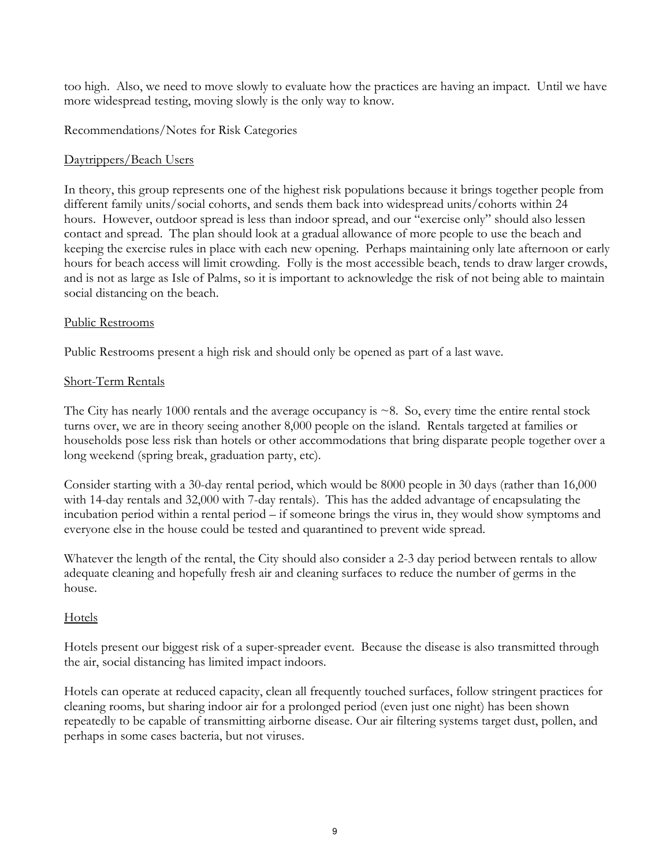too high. Also, we need to move slowly to evaluate how the practices are having an impact. Until we have more widespread testing, moving slowly is the only way to know.

Recommendations/Notes for Risk Categories

### Daytrippers/Beach Users

In theory, this group represents one of the highest risk populations because it brings together people from different family units/social cohorts, and sends them back into widespread units/cohorts within 24 hours. However, outdoor spread is less than indoor spread, and our "exercise only" should also lessen contact and spread. The plan should look at a gradual allowance of more people to use the beach and keeping the exercise rules in place with each new opening. Perhaps maintaining only late afternoon or early hours for beach access will limit crowding. Folly is the most accessible beach, tends to draw larger crowds, and is not as large as Isle of Palms, so it is important to acknowledge the risk of not being able to maintain social distancing on the beach.

#### Public Restrooms

Public Restrooms present a high risk and should only be opened as part of a last wave.

#### Short-Term Rentals

The City has nearly 1000 rentals and the average occupancy is  $\sim$ 8. So, every time the entire rental stock turns over, we are in theory seeing another 8,000 people on the island. Rentals targeted at families or households pose less risk than hotels or other accommodations that bring disparate people together over a long weekend (spring break, graduation party, etc).

Consider starting with a 30-day rental period, which would be 8000 people in 30 days (rather than 16,000 with 14-day rentals and 32,000 with 7-day rentals). This has the added advantage of encapsulating the incubation period within a rental period – if someone brings the virus in, they would show symptoms and everyone else in the house could be tested and quarantined to prevent wide spread.

Whatever the length of the rental, the City should also consider a 2-3 day period between rentals to allow adequate cleaning and hopefully fresh air and cleaning surfaces to reduce the number of germs in the house.

### Hotels

Hotels present our biggest risk of a super-spreader event. Because the disease is also transmitted through the air, social distancing has limited impact indoors.

Hotels can operate at reduced capacity, clean all frequently touched surfaces, follow stringent practices for cleaning rooms, but sharing indoor air for a prolonged period (even just one night) has been shown repeatedly to be capable of transmitting airborne disease. Our air filtering systems target dust, pollen, and perhaps in some cases bacteria, but not viruses.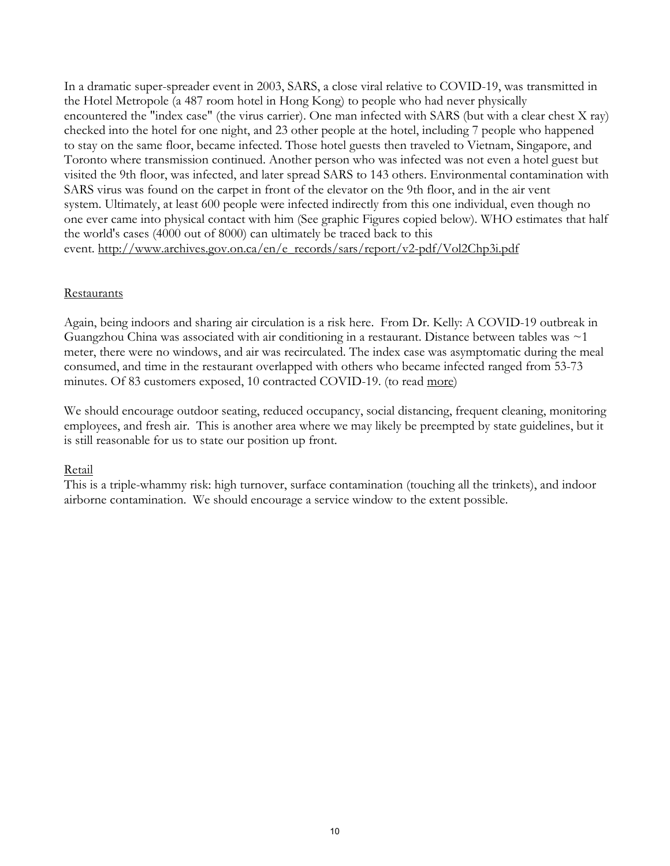In a dramatic super-spreader event in 2003, SARS, a close viral relative to COVID-19, was transmitted in the Hotel Metropole (a 487 room hotel in Hong Kong) to people who had never physically encountered the "index case" (the virus carrier). One man infected with SARS (but with a clear chest X ray) checked into the hotel for one night, and 23 other people at the hotel, including 7 people who happened to stay on the same floor, became infected. Those hotel guests then traveled to Vietnam, Singapore, and Toronto where transmission continued. Another person who was infected was not even a hotel guest but visited the 9th floor, was infected, and later spread SARS to 143 others. Environmental contamination with SARS virus was found on the carpet in front of the elevator on the 9th floor, and in the air vent system. Ultimately, at least 600 people were infected indirectly from this one individual, even though no one ever came into physical contact with him (See graphic Figures copied below). WHO estimates that half the world's cases (4000 out of 8000) can ultimately be traced back to this event. http://www.archives.gov.on.ca/en/e\_records/sars/report/v2-pdf/Vol2Chp3i.pdf

#### **Restaurants**

Again, being indoors and sharing air circulation is a risk here. From Dr. Kelly: A COVID-19 outbreak in Guangzhou China was associated with air conditioning in a restaurant. Distance between tables was ~1 meter, there were no windows, and air was recirculated. The index case was asymptomatic during the meal consumed, and time in the restaurant overlapped with others who became infected ranged from 53-73 minutes. Of 83 customers exposed, 10 contracted COVID-19. (to read [more\)](https://wwwnc.cdc.gov/eid/article/26/7/20-0764_article?fbclid=IwAR0wvX8rRG8G6mbw8dzT0ETmhAn6oJCEnd8lu2Z5uI72NdtWFyakOAXhcbg)

We should encourage outdoor seating, reduced occupancy, social distancing, frequent cleaning, monitoring employees, and fresh air. This is another area where we may likely be preempted by state guidelines, but it is still reasonable for us to state our position up front.

#### Retail

This is a triple-whammy risk: high turnover, surface contamination (touching all the trinkets), and indoor airborne contamination. We should encourage a service window to the extent possible.